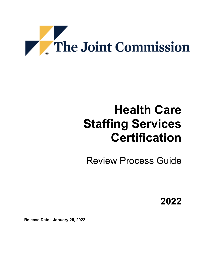

# **Health Care Staffing Services Certification**

Review Process Guide

**2022**

**Release Date: January 25, 2022**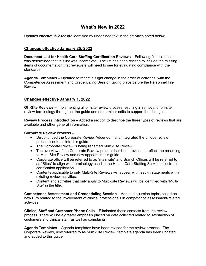## **What's New in 2022**

Updates effective in 2022 are identified by underlined text in the activities noted below.

## **Changes effective January 25, 2022**

**Document List for Health Care Staffing Certification Reviews –** Following first release, it was determined that this list was incomplete. The list has been revised to include the missing items of documentation that reviewers will need to see for evaluating compliance with the standards.

**Agenda Templates –** Updated to reflect a slight change in the order of activities, with the Competence Assessment and Credentialing Session taking place before the Personnel File Review.

## **Changes effective January 1, 2022**

**Off-Site Reviews –** Implementing all off-site review process resulting in removal of on-site review terminology throughout the guide and other minor edits to support the changes.

**Review Process Introduction –** Added a section to describe the three types of reviews that are available and other general information.

#### **Corporate Review Process –**

- Discontinued the Corporate Review Addendum and integrated the unique review process contents into this guide.
- The Corporate Review is being renamed Multi-Site Review.
- The overview of the Corporate Review process has been revised to reflect the renaming to Multi-Site Review and now appears in this guide.
- Corporate office will be referred to as "main site" and Branch Offices will be referred to as "Sites" to align with terminology used in the Health Care Staffing Services electronic certification application.
- Contents applicable to only Multi-Site Reviews will appear with lead-in statements within existing review activities.
- Content and activities that only apply to Multi-Site Reviews will be identified with "Multi-Site" in the title.

**Competence Assessment and Credentialing Session** – Added discussion topics based on new EPs related to the involvement of clinical professionals in competence assessment-related activities

**Clinical Staff and Customer Phone Calls –** Eliminated these contacts from the review process. There will be a greater emphasis placed on data collected related to satisfaction of customers and clinical staff, as well as complaints.

**Agenda Templates –** Agenda templates have been revised for the review process. The Corporate Review, now referred to as Multi-Site Review, template agenda has been updated and added to this guide.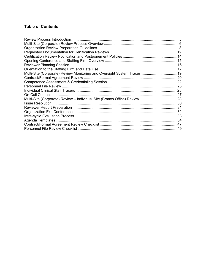## **Table of Contents**

| <b>Reviewer Planning Session.</b>                                         |  |
|---------------------------------------------------------------------------|--|
|                                                                           |  |
| Multi-Site (Corporate) Review Monitoring and Oversight System Tracer19    |  |
|                                                                           |  |
|                                                                           |  |
|                                                                           |  |
|                                                                           |  |
|                                                                           |  |
| Multi-Site (Corporate) Review - Individual Site (Branch Office) Review 28 |  |
|                                                                           |  |
|                                                                           |  |
|                                                                           |  |
|                                                                           |  |
|                                                                           |  |
|                                                                           |  |
|                                                                           |  |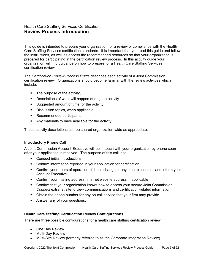## <span id="page-4-0"></span>Health Care Staffing Services Certification **Review Process Introduction**

This guide is intended to prepare your organization for a review of compliance with the Health Care Staffing Services certification standards. It is important that you read this guide and follow the instructions, as well as access the recommended resources so that your organization is prepared for participating in the certification review process. In this activity guide your organization will find guidance on how to prepare for a Health Care Staffing Services certification review.

The *Certification Review Process Guide* describes each activity of a Joint Commission certification review. Organizations should become familiar with the review activities which include:

- The purpose of the activity,
- **Descriptions of what will happen during the activity**
- **Suggested amount of time for the activity**
- **•** Discussion topics, when applicable
- Recommended participants
- Any materials to have available for the activity

These activity descriptions can be shared organization-wide as appropriate.

#### **Introductory Phone Call**

A Joint Commission Account Executive will be in touch with your organization by phone soon after your application is received. The purpose of this call is to:

- Conduct initial introductions
- **•** Confirm information reported in your application for certification
- Confirm your hours of operation; if these change at any time, please call and inform your Account Executive
- Confirm your mailing address, internet website address, if applicable
- Confirm that your organization knows how to access your secure Joint Commission *Connect* extranet site to view communications and certification-related information
- Obtain the phone number for any on-call service that your firm may provide
- **Answer any of your questions.**

#### **Health Care Staffing Certification Review Configurations**

There are three possible configurations for a health care staffing certification review:

- One Day Review
- Multi-Day Review
- Multi-Site Review (formerly referred to as the Corporate Integration Review)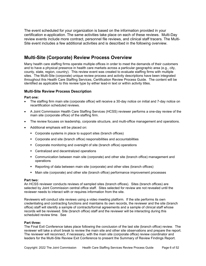The event scheduled for your organization is based on the information provided in your certification e-application. The same activities take place on each of these reviews. Multi-Day review events include more contract, personnel file reviews, and clinical staff tracers. The Multi-Site event includes a few additional activities and is described in the following overview.

## <span id="page-5-0"></span>**Multi-Site (Corporate) Review Process Overview**

Many health care staffing firms operate multiple offices in order to meet the demands of their customers and to have a physical presence in health care markets across a particular geographic area (e.g., city, county, state, region, country). This review event was created to evaluate staffing firms with multiple sites. The Multi-Site (corporate) unique review process and activity descriptions have been integrated throughout this Health Care Staffing Services, Certification Review Process Guide. The content will be identified as applicable to this review type by either lead-in text or within activity titles.

#### **Multi-Site Review Process Description**

#### **Part one:**

- The staffing firm main site (corporate office) will receive a 30-day notice on initial and 7-day notice on recertification scheduled reviews.
- A Joint Commission Health Care Staffing Services (HCSS) reviewer performs a one-day review of the main site (corporate office) of the staffing firm.
- The review focuses on leadership, corporate structure, and multi-office management and operations.
- Additional emphasis will be placed on:
	- Corporate systems in place to support sites (branch offices)
	- Corporate and site (branch office) responsibilities and accountabilities
	- Corporate monitoring and oversight of site (branch office) operations
	- Centralized and decentralized operations
	- Communication between main site (corporate) and other site (branch office) management and operations
	- Reporting of data between main site (corporate) and other sites (branch offices)
	- **Main site (corporate) and other site (branch office) performance improvement processes**

#### **Part two:**

An HCSS reviewer conducts reviews of sampled sites (branch offices). Sites (branch offices) are selected by Joint Commission central office staff. Sites selected for review are not revealed until the reviewer needs to interact with or requires information from the site.

Reviewers will conduct site reviews using a video meeting platform. If the site performs its own credentialing and contracting functions and maintains its own records, the reviewer and the site (branch office) staff will identify a sample of contracts/formal agreements and a sample of clinical staff whose records will be reviewed. Site (branch office) staff and the reviewer will be interacting during this scheduled review time. See

#### **Part three:**

The Final Exit Conference takes place following the conclusion of the last site (branch office) review. The reviewer will take a short break to review the main site and other site observations and prepare the report. The reviewer will reconnect, if necessary, with the main site (corporate office) review coordinator and leaders for the Multi-Site Review Exit Conference to present the Summary of Review Findings Report.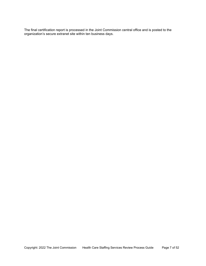The final certification report is processed in the Joint Commission central office and is posted to the organization's secure extranet site within ten business days.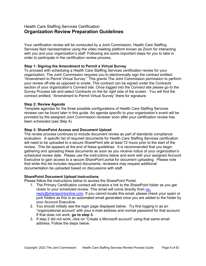## <span id="page-7-0"></span>Health Care Staffing Services Certification **Organization Review Preparation Guidelines**

Your certification review will be conducted by a Joint Commission, Health Care Staffing Services field representative using the video meeting platform known as Zoom for interacting with you and your organization's staff. Following are some important steps for you to take in order to participate in the certification review process.

#### **Step 1: Signing the Amendment to Permit a Virtual Survey**

To proceed with scheduling a Health Care Staffing Services certification review for your organization, The Joint Commission requires you to electronically sign the contract entitled, "Amendment to Permit Virtual Survey." This grants The Joint Commission permission to perform your review off-site as opposed to onsite. This contract can be signed under the Contracts section of your organization's *Connect* site. Once logged into the *Connect* site please go to the Survey Process tab and select Contracts on the far right side of the screen. You will find the contract entitled, "Amendment to Permit Virtual Survey" there for signature.

#### **Step 2: Review Agenda**

Template agendas for the three possible configurations of Health Care Staffing Services reviews can be found later in this guide. An agenda specific to your organization's event will be provided by the assigned Joint Commission reviewer soon after your certification review has been scheduled (see Step 4).

#### **Step 3: SharePoint Access and Document Upload**

The review process continues to include document review as part of standards compliance evaluation. A specific list of required documents for Health Care Staffing Services certification will need to be uploaded to a secure SharePoint site at least 72 hours prior to the start of the review. This list appears at the end of these guidelines. It is recommended that you begin gathering and uploading these documents as soon as you receive notice of your organization's scheduled review date. Please use the instructions below and work with your assigned Account Executive to gain access to a secure SharePoint portal for document uploading. Please note that while this list includes required documents, reviewers may request additional documentation be uploaded based on discussions with staff.

#### **SharePoint Document Upload Instructions**

Please follow the instructions below to access the SharePoint Portal:

- 1. The Primary Certification contact will receive a link to the SharePoint folder as you get closer to your scheduled review. This email will come directly from [no](mailto:no-reply@sharepointonline.com)[reply@sharepointonline.com.](mailto:no-reply@sharepointonline.com) If you cannot locate this email, please check your spam or junk folders as this is an automated email generated once you are added to the folder by your Account Executive.
- 2. You should intitally see the login page displayed below. Try first logging in as an "organizational account' with your e-mail address and normal password for that account. If that does not work, **go to step 3.**
- 3. If step 2 did not work, click on "Create a Microsoft account" using that same email address. Follow the steps below.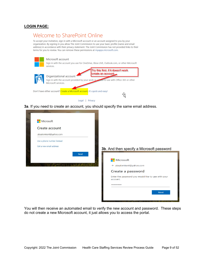#### **LOGIN PAGE:**

## Welcome to SharePoint Online

To accept your invitation, sign in with a Microsoft account or an account assigned to you by your organization. By signing in you allow The Joint Commission to use your basic profile (name and email address) in accordance with their privacy statement. The Joint Commission has not provided links to their terms for you to review. You can remove these permissions at myapps.microsoft.com.



**3a**. If you need to create an account, you should specify the same email address.



You will then receive an automated email to verify the new account and password. These steps do not create a new Microsoft account, it just allows you to access the portal.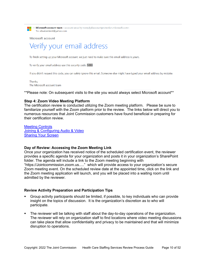٠

**Microsoft account team** <account-security-noreply@accountprotection.microsoft.com> To: absalomkent@yahoo.com

**Microsoft account** 

## Verify your email address

To finish setting up your Microsoft account, we just need to make sure this email address is yours.

To verify your email address use this security code: 5893

If you didn't request this code, you can safely ignore this email. Someone else might have typed your email address by mistake.

Thanks, The Microsoft account team

\*\*Please note: On subsequent visits to the site you would always select Microsoft account\*\*

#### **Step 4: Zoom Video Meeting Platform**

The certification review is conducted utilizing the Zoom meeting platform. Please be sure to familiarize yourself with the Zoom platform prior to the review. The links below will direct you to numerous resources that Joint Commission customers have found beneficial in preparing for their certification review.

[Meeting Controls](https://www.youtube.com/embed/ygZ96J_z4AY?rel=0&autoplay=1&cc_load_policy=1) [Joining & Configuring Audio & Video](https://www.youtube.com/embed/-s76QHshQnY?rel=0&autoplay=1&cc_load_policy=1) [Sharing Your Screen](https://www.youtube.com/embed/YA6SGQlVmcA?rel=0&autoplay=1&cc_load_policy=1)

#### **Day of Review: Accessing the Zoom Meeting Link**

Once your organization has received notice of the scheduled certification event, the reviewer provides a specific agenda for your organization and posts it in your organization's SharePoint folder. The agenda will include a link to the Zoom meeting beginning with "https://Jointcommission.zoom.us....." which will provide access to your organization's secure Zoom meeting event. On the scheduled review date at the appointed time, click on the link and the Zoom meeting application will launch, and you will be placed into a waiting room until admitted by the reviewer.

#### **Review Activity Preparation and Participation Tips**

- Group activity participants should be limited, if possible, to key individuals who can provide insight on the topics of discussion. It is the organization's discretion as to who will participate.
- The reviewer will be talking with staff about the day-to-day operations of the organization. The reviewer will rely on organization staff to find locations where video meeting discussions can take place that allow confidentiality and privacy to be maintained and that will minimize disruption to operations.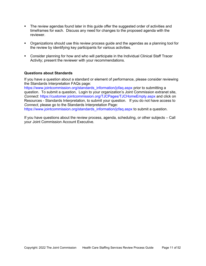- The review agendas found later in this guide offer the suggested order of activities and timeframes for each. Discuss any need for changes to the proposed agenda with the reviewer.
- Organizations should use this review process guide and the agendas as a planning tool for the review by identifying key participants for various activities.
- Consider planning for how and who will participate in the Individual Clinical Staff Tracer Activity; present the reviewer with your recommendations.

#### **Questions about Standards**

If you have a question about a standard or element of performance, please consider reviewing the Standards Interpretation FAQs page:

[https://www.jointcommission.org/standards\\_information/jcfaq.aspx](https://www.jointcommission.org/standards_information/jcfaq.aspx) prior to submitting a question. To submit a question, Login to your organization's Joint Commission extranet site, *Connect*: <https://customer.jointcommission.org/TJCPages/TJCHomeEmpty.aspx> and click on Resources - Standards Interpretation, to submit your question. If you do not have access to *Connect*, please go to the Standards Interpretation Page:

[https://www.jointcommission.org/standards\\_information/jcfaq.aspx](https://www.jointcommission.org/standards_information/jcfaq.aspx) to submit a question.

If you have questions about the review process, agenda, scheduling, or other subjects – Call your Joint Commission Account Executive.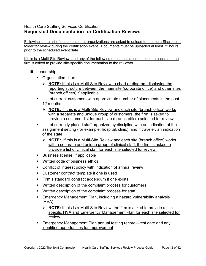## <span id="page-11-0"></span>Health Care Staffing Services Certification **Requested Documentation for Certification Reviews**

Following is the list of documents that organizations are asked to upload to a secure Sharepoint folder for review during the certification event. Documents must be uploaded at least 72 hours prior to the scheduled event date.

If this is a Multi-Site Review, and any of the following documentation is unique to each site, the firm is asked to provide site-specific documentation to the reviewer.

- Leadership:
	- Organization chart
		- **NOTE:** If this is a Multi-Site Review, a chart or diagram displaying the reporting structure between the main site (corporate office) and other sites (branch offices) if applicable
	- List of current customers with approximate number of placements in the past 12 months
		- **NOTE:** If this is a Multi-Site Review and each site (branch office) works with a separate and unique group of customers, the firm is asked to provide a customer list for each site (branch office) selected for review.
	- List of currently placed staff organized by discipline with an indication of the assignment setting (for example, hospital, clinic), and if traveler, an indication of the state
		- **NOTE:** If this is a Multi-Site Review and each site (branch office) works with a separate and unique group of clinical staff, the firm is asked to provide a list of clinical staff for each site selected for review.
	- **Business license, if applicable**
	- **Written code of business ethics**
	- Conflict of interest policy with indication of annual review
	- Customer contract template if one is used
	- **Firm's standard contract addendum if one exists**
	- Written description of the complaint process for customers
	- Written description of the complaint process for staff
	- **Emergency Management Plan, including a hazard vulnerability analysis** (HVA)
		- **NOTE:** If this is a Multi-Site Review, the firm is asked to provide a sitespecific HVA and Emergency Management Plan for each site selected for review.
	- Emergency Management Plan annual testing record—test date and any identified opportunities for improvement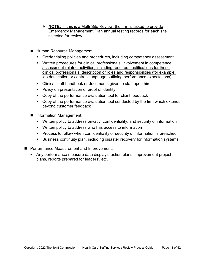- **NOTE:** If this is a Multi-Site Review, the firm is asked to provide Emergency Management Plan annual testing records for each site selected for review.
- Human Resource Management:
	- **EXP** Credentialing policies and procedures, including competency assessment
	- Written procedures for clinical professionals' involvement in competence assessment-related activities, including required qualifications for these clinical professionals, description of roles and responsibilities (for example, job description or contract language outlining performance expectations)
	- Clinical staff handbook or documents given to staff upon hire
	- Policy on presentation of proof of identity
	- Copy of the performance evaluation tool for client feedback
	- Copy of the performance evaluation tool conducted by the firm which extends beyond customer feedback
- **I** Information Management:
	- Written policy to address privacy, confidentiality, and security of information
	- **Written policy to address who has access to information**
	- **Process to follow when confidentiality or security of information is breached**
	- Business continuity plan, including disaster recovery for information systems
- **Performance Measurement and Improvement:** 
	- Any performance measure data displays, action plans, improvement project plans, reports prepared for leaders', etc.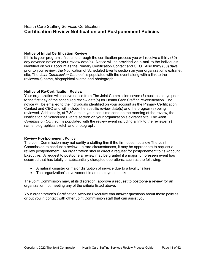## <span id="page-13-0"></span>Health Care Staffing Services Certification **Certification Review Notification and Postponement Policies**

#### **Notice of Initial Certification Review**

If this is your program's first time through the certification process you will receive a thirty (30) day advance notice of your review date(s). Notice will be provided via e-mail to the individuals identified on your account as the Primary Certification Contact and CEO. Also thirty (30) days prior to your review, the Notification of Scheduled Events section on your organization's extranet site, The *Joint Commission Connect*, is populated with the event along with a link to the reviewer(s) name, biographical sketch and photograph.

#### **Notice of Re-Certification Review**

Your organization will receive notice from The Joint Commission seven (7) business days prior to the first day of the scheduled review date(s) for Health Care Staffing re-certification. The notice will be emailed to the individuals identified on your account as the Primary Certification Contact and CEO and will include the specific review date(s) and the program(s) being reviewed. Additionally, at 7:30 a.m. in your local time zone on the morning of the review, the Notification of Scheduled Events section on your organization's extranet site, The *Joint Commission Connect*, is populated with the review event including a link to the reviewer(s) name, biographical sketch and photograph.

#### **Review Postponement Policy**

The Joint Commission may not certify a staffing firm if the firm does not allow The Joint Commission to conduct a review. In rare circumstances, it may be appropriate to request a review postponement. An organization should direct a request for postponement to its Account Executive. A request to postpone a review may be granted if a major, unforeseen event has occurred that has totally or substantially disrupted operations, such as the following:

- A natural disaster or major disruption of service due to a facility failure
- The organization's involvement in an employment strike

The Joint Commission may, at its discretion, approve a request to postpone a review for an organization not meeting any of the criteria listed above.

Your organization's Certification Account Executive can answer questions about these policies, or put you in contact with other Joint Commission staff that can assist you.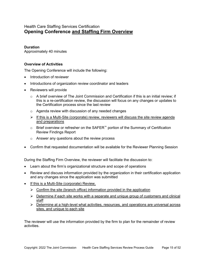## <span id="page-14-0"></span>Health Care Staffing Services Certification **Opening Conference and Staffing Firm Overview**

#### **Duration**

Approximately 40 minutes

#### **Overview of Activities**

The Opening Conference will include the following:

- Introduction of reviewer
- Introductions of organization review coordinator and leaders
- Reviewers will provide
	- $\circ$  A brief overview of The Joint Commission and Certification if this is an initial review; if this is a re-certification review, the discussion will focus on any changes or updates to the Certification process since the last review
	- o Agenda review with discussion of any needed changes
	- $\triangleright$  If this is a Multi-Site (corporate) review, reviewers will discuss the site review agenda and preparations
	- o Brief overview or refresher on the SAFER™ portion of the Summary of Certification Review Findings Report
	- o Answer any questions about the review process
- Confirm that requested documentation will be available for the Reviewer Planning Session

During the Staffing Firm Overview, the reviewer will facilitate the discussion to:

- Learn about the firm's organizational structure and scope of operations
- Review and discuss information provided by the organization in their certification application and any changes since the application was submitted
- If this is a Multi-Site (corporate) Review,
	- $\triangleright$  Confirm the site (branch office) information provided in the application
	- $\triangleright$  Determine if each site works with a separate and unique group of customers and clinical staff
	- $\triangleright$  Determine at a high-level what activities, resources, and operations are universal across sites, and unique to each site

The reviewer will use the information provided by the firm to plan for the remainder of review activities.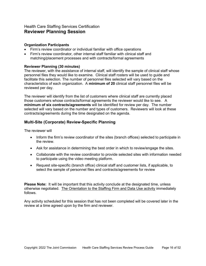## <span id="page-15-0"></span>Health Care Staffing Services Certification **Reviewer Planning Session**

#### **Organization Participants**

- Firm's review coordinator or individual familiar with office operations
- Firm's review coordinator, other internal staff familiar with clinical staff and matching/placement processes and with contracts/formal agreements

#### **Reviewer Planning (30 minutes)**

The reviewer, with the assistance of internal staff, will identify the sample of clinical staff whose personnel files they would like to examine. Clinical staff rosters will be used to guide and facilitate this selection. The number of personnel files selected will vary based on the characteristics of each organization. A **minimum of 20** clinical staff personnel files will be reviewed per day.

The reviewer will identify from the list of customers where clinical staff are currently placed those customers whose contracts/formal agreements the reviewer would like to see. A **minimum of six contracts/agreements** will be identified for review per day. The number selected will vary based on the number and types of customers. Reviewers will look at these contracts/agreements during the time designated on the agenda.

#### **Multi-Site (Corporate) Review-Specific Planning**

The reviewer will

- Inform the firm's review coordinator of the sites (branch offices) selected to participate in the review.
- Ask for assistance in determining the best order in which to review/engage the sites.
- Collaborate with the review coordinator to provide selected sites with information needed to participate using the video meeting platform.
- Request site-specific (branch office) clinical staff and customer lists, if applicable, to select the sample of personnel files and contracts/agreements for review

**Please Note:** It will be important that this activity conclude at the designated time, unless otherwise negotiated. The Orientation to the Staffing Firm and Data Use activity immediately follows.

Any activity scheduled for this session that has not been completed will be covered later in the review at a time agreed upon by the firm and reviewer.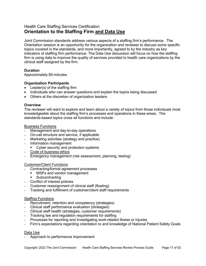## <span id="page-16-0"></span>Health Care Staffing Services Certification **Orientation to the Staffing Firm and Data Use**

Joint Commission standards address various aspects of a staffing firm's performance. The Orientation session is an opportunity for the organization and reviewer to discuss some specific topics covered in the standards, and more importantly, agreed to by the industry as key indicators of staffing firm performance. The Data Use discussion will focus on how the staffing firm is using data to improve the quality of services provided to health care organizations by the clinical staff assigned by the firm.

#### **Duration**

Approximately 60-minutes

#### **Organization Participants**

- Leader(s) of the staffing firm
- Individuals who can answer questions and explain the topics being discussed
- Others at the discretion of organization leaders

#### **Overview**

The reviewer will want to explore and learn about a variety of topics from those individuals most knowledgeable about the staffing firm's processes and operations in these areas. The standards-based topics cross all functions and include:

#### Business Functions

- Management and day-to-day operations
- On-call structure and service, if applicable
- Marketing activities (strategy and practice)
- Information management
	- **•** Cyber security and protection systems
- Code of business ethics
- Emergency management (risk assessment, planning, testing)

#### Customer/Client Functions

- Contracting/formal agreement processes
	- MSPs and vendor management
	- **Subcontracting**
- Conflict of interest policies
- Customer reassignment of clinical staff (floating)
- Tracking and fulfillment of customer/client staff requirements

#### Staffing Functions

- Recruitment, retention and competency (strategies)
- Clinical staff performance evaluation (strategies)
- Clinical staff health (strategies, customer requirements)
- Tracking law and regulation requirements for staffing
- Processes for reporting and investigating work-related illness or injuries
- Firm's expectations regarding orientation to and knowledge of National Patient Safety Goals

#### Data Use

Approach to performance improvement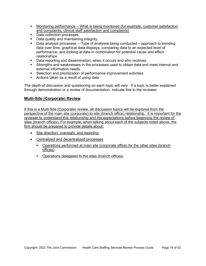- Monitoring performance What is being monitored (for example, customer satisfaction and complaints, clinical staff satisfaction and complaints)
- Data collection processes
- **Data quality and maintaining integrity**
- Data analysis processes -- Type of analyses being conducted approach to trending data over time, graphical data displays, comparing data to an expected level of performance, and looking at data in combination for potential cause and effect relationships
- Data reporting and dissemination, when it occurs and who receives
- Strengths and weaknesses in the processes used to obtain data and meet internal and external information needs
- Selection and prioritization of performance improvement activities
- **Actions taken as a result of using data**

The depth of discussion and questioning on each topic will vary. If a topic is better explained through demonstration or a review of documentation, indicate this to the reviewer.

#### **Multi-Site (Corporate) Review**

If this is a Multi-Site (Corporate) review, all discussion topics will be explored from the perspective of the main site (corporate)-to-site (branch office) relationship. It is important for the reviewer to understand this relationship and the expectations before beginning the review of sites (branch offices). For example, when talking about each of the subjects noted above, the firm should be prepared to provide details about:

- Site direction, oversight, and reporting
- Centralized and decentralized processes
	- Operations performed at main site (corporate office) for the other sites (branch offices)
	- **•** Operations delegated to the sites (branch offices)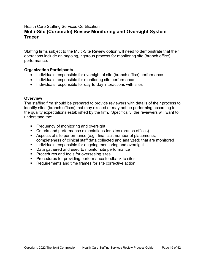## <span id="page-18-0"></span>Health Care Staffing Services Certification **Multi-Site (Corporate) Review Monitoring and Oversight System Tracer**

Staffing firms subject to the Multi-Site Review option will need to demonstrate that their operations include an ongoing, rigorous process for monitoring site (branch office) performance.

#### **Organization Participants**

- Individuals responsible for oversight of site (branch office) performance
- Individuals responsible for monitoring site performance
- Individuals responsible for day-to-day interactions with sites

#### **Overview**

The staffing firm should be prepared to provide reviewers with details of their process to identify sites (branch offices) that may exceed or may not be performing according to the quality expectations established by the firm. Specifically, the reviewers will want to understand the:

- **Figure 1** Frequency of monitoring and oversight
- Criteria and performance expectations for sites (branch offices)
- Aspects of site performance (e.g., financial, number of placements, completeness of clinical staff data collected and analyzed) that are monitored
- **IF** Individuals responsible for ongoing monitoring and oversight
- Data gathered and used to monitor site performance
- **Procedures and tools for overseeing sites**
- **Procedures for providing performance feedback to sites**
- Requirements and time frames for site corrective action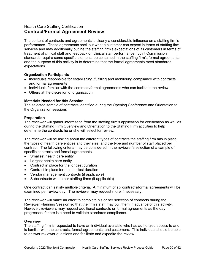## <span id="page-19-0"></span>Health Care Staffing Certification **Contract/Formal Agreement Review**

The content of contracts and agreements is clearly a considerable influence on a staffing firm's performance. These agreements spell out what a customer can expect in terms of staffing firm services and may additionally outline the staffing firm's expectations of its customers in terms of treatment of clinical staff and feedback on clinical staff performance. Joint Commission standards require some specific elements be contained in the staffing firm's formal agreements, and the purpose of this activity is to determine that the formal agreements meet standards expectations.

#### **Organization Participants**

- Individuals responsible for establishing, fulfilling and monitoring compliance with contracts and formal agreements
- Individuals familiar with the contracts/formal agreements who can facilitate the review
- Others at the discretion of organization

#### **Materials Needed for this Session**

The selected sample of contracts identified during the Opening Conference and Orientation to the Organization sessions

#### **Preparation**

The reviewer will gather information from the staffing firm's application for certification as well as during the Staffing Firm Overview and Orientation to the Staffing Firm activities to help determine the contracts he or she will select for review.

The reviewer will be asking about the different types of contracts the staffing firm has in place, the types of health care entities and their size, and the type and number of staff placed per contract. The following criteria may be considered in the reviewer's selection of a sample of specific contracts and formal agreements.

- Smallest health care entity
- Largest health care entity
- Contract in place for the longest duration
- Contract in place for the shortest duration
- Vendor management contracts (if applicable)
- Subcontracts with other staffing firms (if applicable)

One contract can satisfy multiple criteria. A minimum of six contracts/formal agreements will be examined per review day. The reviewer may request more if necessary.

The reviewer will make an effort to complete his or her selection of contracts during the Reviewer Planning Session so that the firm's staff may pull them in advance of this activity. However, reviewers may request additional contracts or formal agreements as the day progresses if there is a need to validate standards compliance.

#### **Overview**

The staffing firm is requested to have an individual available who has authorized access to and is familiar with the contracts, formal agreements, and customers. This individual should be able to answer reviewer questions and facilitate and expedite the review.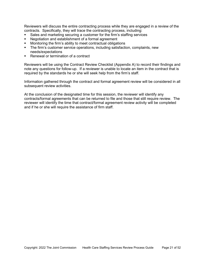Reviewers will discuss the entire contracting process while they are engaged in a review of the contracts. Specifically, they will trace the contracting process, including:

- Sales and marketing securing a customer for the firm's staffing services
- Negotiation and establishment of a formal agreement
- Monitoring the firm's ability to meet contractual obligations
- The firm's customer service operations, including satisfaction, complaints, new needs/expectations
- Renewal or termination of a contract

Reviewers will be using the Contract Review Checklist (Appendix A) to record their findings and note any questions for follow-up. If a reviewer is unable to locate an item in the contract that is required by the standards he or she will seek help from the firm's staff.

Information gathered through the contract and formal agreement review will be considered in all subsequent review activities.

At the conclusion of the designated time for this session, the reviewer will identify any contracts/formal agreements that can be returned to file and those that still require review. The reviewer will identify the time that contract/formal agreement review activity will be completed and if he or she will require the assistance of firm staff.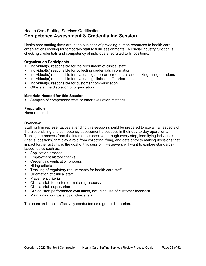## <span id="page-21-0"></span>Health Care Staffing Services Certification **Competence Assessment & Credentialing Session**

Health care staffing firms are in the business of providing human resources to health care organizations looking for temporary staff to fulfill assignments. A crucial industry function is checking credentials and competency of individuals recruited to fill positions.

#### **Organization Participants**

- Individual(s) responsible for the recruitment of clinical staff
- Individual(s) responsible for collecting credentials information
- Individual(s) responsible for evaluating applicant credentials and making hiring decisions
- **Individual(s) responsible for evaluating clinical staff performance**
- Individual(s) responsible for customer communication
- **•** Others at the discretion of organization

#### **Materials Needed for this Session**

Samples of competency tests or other evaluation methods

#### **Preparation**

None required

#### **Overview**

Staffing firm representatives attending this session should be prepared to explain all aspects of the credentialing and competency assessment processes in their day-to-day operations. Tracing the process from the internal perspective, through every step, identifying individuals (that is, positions) that play a role from collecting, filing, and data entry to making decisions that impact further activity, is the goal of this session. Reviewers will want to explore standardsbased topics such as:

- **Application process**
- Employment history checks
- **Credentials verification process**
- $\blacksquare$  Hiring criteria
- **Tracking of regulatory requirements for health care staff**
- Orientation of clinical staff
- Placement criteria
- Clinical staff to customer matching process
- **Clinical staff supervision**
- Clinical staff performance evaluation, including use of customer feedback
- **Maintaining competency of clinical staff**

This session is most effectively conducted as a group discussion.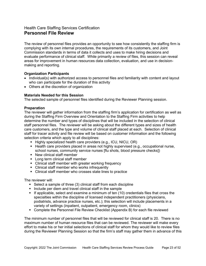## <span id="page-22-0"></span>Health Care Staffing Services Certification **Personnel File Review**

The review of personnel files provides an opportunity to see how consistently the staffing firm is complying with its own internal procedures, the requirements of its customers, and Joint Commission standards in terms of data it collects and uses to make hiring decisions and evaluate performance of clinical staff. While primarily a review of files, this session can reveal areas for improvement in human resources data collection, evaluation, and use in decisionmaking and reporting.

#### **Organization Participants**

- Individual(s) with authorized access to personnel files and familiarity with content and layout who can participate for the duration of this activity
- Others at the discretion of organization

#### **Materials Needed for this Session**

The selected sample of personnel files identified during the Reviewer Planning session.

#### **Preparation**

The reviewer will gather information from the staffing firm's application for certification as well as during the Staffing Firm Overview and Orientation to the Staffing Firm activities to help determine the number and types of disciplines that will be included in the selection of clinical staff personnel files. The reviewer will be asking about the different types and sizes of health care customers, and the type and volume of clinical staff placed at each. Selection of clinical staff for tracer activity and file review will be based on customer information and the following selection criteria which apply to all disciplines:

- Highly specialized health care providers (e.g., ICU, NICU, OR)
- $\blacksquare$  Health care providers placed in areas not highly supervised (e.g., occupational nurse, school nurses, community service nurses [flu shots, blood pressure checks])
- New clinical staff member
- Long term clinical staff member
- Clinical staff member with greater working frequency
- Clinical staff member who works infrequently
- Clinical staff member who crosses state lines to practice

The reviewer will:

- Select a sample of three (3) clinical staff from each discipline
- Include per diem and travel clinical staff in the sample
- If applicable, select and examine a minimum of ten (10) credentials files that cross the specialties within the discipline of licensed independent practitioners (physicians, podiatrists, advance practice nurses, etc.); this selection will include placements in a variety of settings (inpatient, outpatient, emergency room, clinics)
- Complete the Personnel File Review Checklist (Appendix B) for each file reviewed

The minimum number of personnel files that will be reviewed for clinical staff is 20. There is no maximum number of human resource files that can be reviewed. The reviewer will make every effort to make his or her initial selections of clinical staff for whom they would like to review files during the Reviewer Planning Session so that the firm's staff may gather them in advance of this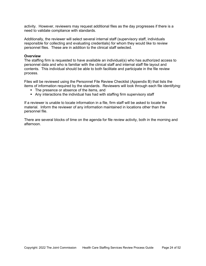activity. However, reviewers may request additional files as the day progresses if there is a need to validate compliance with standards.

Additionally, the reviewer will select several internal staff (supervisory staff, individuals responsible for collecting and evaluating credentials) for whom they would like to review personnel files. These are in addition to the clinical staff selected.

#### **Overview**

The staffing firm is requested to have available an individual(s) who has authorized access to personnel data and who is familiar with the clinical staff and internal staff file layout and contents. This individual should be able to both facilitate and participate in the file review process.

Files will be reviewed using the Personnel File Review Checklist (Appendix B) that lists the items of information required by the standards. Reviewers will look through each file identifying:

- The presence or absence of the items, and
- Any interactions the individual has had with staffing firm supervisory staff

If a reviewer is unable to locate information in a file, firm staff will be asked to locate the material. Inform the reviewer of any information maintained in locations other than the personnel file.

There are several blocks of time on the agenda for file review activity, both in the morning and afternoon.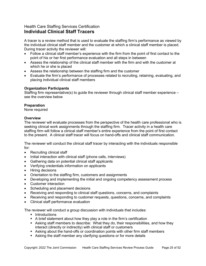## <span id="page-24-0"></span>Health Care Staffing Services Certification **Individual Clinical Staff Tracers**

A tracer is a review method that is used to evaluate the staffing firm's performance as viewed by the individual clinical staff member and the customer at which a clinical staff member is placed. During tracer activity the reviewer will:

- Follow a clinical staff member's experience with the firm from the point of first contact to the point of his or her first performance evaluation and all steps in between
- Assess the relationship of the clinical staff member with the firm and with the customer at which he or she is placed
- Assess the relationship between the staffing firm and the customer
- Evaluate the firm's performance of processes related to recruiting, retaining, evaluating, and placing individual clinical staff members

#### **Organization Participants**

Staffing firm representative(s) to guide the reviewer through clinical staff member experience – see the overview below

#### **Preparation**

None required

#### **Overview**

The reviewer will evaluate processes from the perspective of the health care professional who is seeking clinical work assignments through the staffing firm. Tracer activity in a health care staffing firm will follow a clinical staff member's entire experience from the point of first contact to the present. A clinical staff tracer will focus on hand-offs and clinical staff communication.

The reviewer will conduct the clinical staff tracer by interacting with the individuals responsible for:

- Recruiting clinical staff
- Initial interaction with clinical staff (phone calls, interviews)
- Gathering data on potential clinical staff applicants
- Verifying credentials information on applicants
- Hiring decisions
- Orientation to the staffing firm, customers and assignments
- Developing and implementing the initial and ongoing competency assessment process
- Customer interaction
- Scheduling and placement decisions
- Receiving and responding to clinical staff questions, concerns, and complaints
- Receiving and responding to customer requests, questions, concerns, and complaints
- Clinical staff performance evaluation

The reviewer will conduct a group discussion with individuals that includes:

- **-** Introductions
- A brief statement about how they play a role in the firm's certification
- Asking staff members to describe: What they do, their responsibilities, and how they interact (directly or indirectly) with clinical staff or customers
- Asking about the hand-offs or coordination points with other firm staff members
- Asking the staff member any clarifying questions or for more details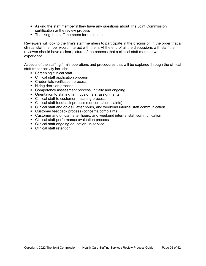- Asking the staff member if they have any questions about The Joint Commission certification or the review process
- Thanking the staff members for their time

Reviewers will look to the firm's staff members to participate in the discussion in the order that a clinical staff member would interact with them. At the end of all the discussions with staff the reviewer should have a clear picture of the process that a clinical staff member would experience.

Aspects of the staffing firm's operations and procedures that will be explored through the clinical staff tracer activity include:

- **Screening clinical staff**
- Clinical staff application process
- Credentials verification process
- **Hiring decision process**
- **Competency assessment process, initially and ongoing**
- Orientation to staffing firm, customers, assignments
- Clinical staff to customer matching process
- Clinical staff feedback process (concerns/complaints)
- Clinical staff and on-call, after hours, and weekend internal staff communication
- **Customer feedback process (concerns/complaints)**
- Customer and on-call, after hours, and weekend internal staff communication
- **EXEC** Clinical staff performance evaluation process
- Clinical staff ongoing education, in-service
- Clinical staff retention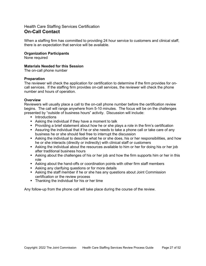## <span id="page-26-0"></span>Health Care Staffing Services Certification **On-Call Contact**

When a staffing firm has committed to providing 24 hour service to customers and clinical staff, there is an expectation that service will be available.

#### **Organization Participants**

None required

#### **Materials Needed for this Session**

The on-call phone number

#### **Preparation**

The reviewer will check the application for certification to determine if the firm provides for oncall services. If the staffing firm provides on-call services, the reviewer will check the phone number and hours of operation.

#### **Overview**

Reviewers will usually place a call to the on-call phone number before the certification review begins. The call will range anywhere from 5-10 minutes. The focus will be on the challenges presented by "outside of business hours" activity. Discussion will include:

- **Introductions**
- Asking the individual if they have a moment to talk
- Providing a brief statement about how he or she plays a role in the firm's certification
- Assuring the individual that if he or she needs to take a phone call or take care of any business he or she should feel free to interrupt the discussion
- Asking the individual to describe what he or she does, his or her responsibilities, and how he or she interacts (directly or indirectly) with clinical staff or customers
- Asking the individual about the resources available to him or her for doing his or her job after traditional business hours
- Asking about the challenges of his or her job and how the firm supports him or her in this role
- Asking about the hand-offs or coordination points with other firm staff members
- Asking any clarifying questions or for more details
- Asking the staff member if he or she has any questions about Joint Commission certification or the review process
- Thanking the individual for his or her time

Any follow-up from the phone call will take place during the course of the review.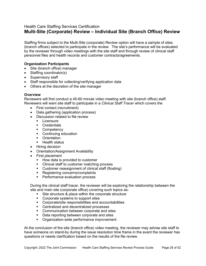## <span id="page-27-0"></span>Health Care Staffing Services Certification **Multi-Site (Corporate) Review – Individual Site (Branch Office) Review**

Staffing firms subject to the Multi-Site (corporate) Review option will have a sample of sites (branch offices) selected to participate in the review. The site's performance will be evaluated by the reviewer through video meetings with the site staff and through review of clinical staff personnel files and health records and customer contracts/agreements.

#### **Organization Participants**

- Site (branch office) manager
- Staffing coordinator(s)
- Supervisory staff
- Staff responsible for collecting/verifying application data
- Others at the discretion of the site manager

#### **Overview**

Reviewers will first conduct a 45-60 minute video meeting with site (branch office) staff. Reviewers will want site staff to participate in a *Clinical Staff Tracer* which covers the

- First contact (recruitment)
- Data gathering (application process)
- Discussion related to file review
	- **Licensure**
	- **Credentials**
	- Competency
	- Continuing education
	- **•** Orientation
	- Health status
- Hiring decision
- Orientation/Assignment Availability
- First placement
	- **How data is provided to customer**
	- Clinical staff to customer matching process
	- Customer reassignment of clinical staff (floating)
	- **Registering concerns/complaints**
	- **Performance evaluation process**

During the clinical staff tracer, the reviewer will be exploring the relationship between the site and main site (corporate office) covering such topics as:

- Site structure & place within the corporate structure
- Corporate systems to support sites
- Corporate/site responsibilities and accountabilities
- **EXECENTE CENTER CENTER IS CONTER** CENTER CHILICES
- **•** Communication between corporate and sites
- Data reporting between corporate and sites
- **•** Organization-wide performance improvement

At the conclusion of the site (branch office) video meeting, the reviewer may advise site staff to have someone on stand-by during the issue resolution time frame in the event the reviewer has questions or needs clarification based on the results of the file review.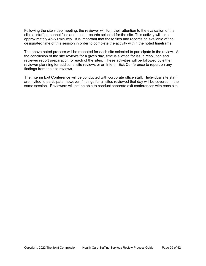Following the site video meeting, the reviewer will turn their attention to the evaluation of the clinical staff personnel files and health records selected for the site. This activity will take approximately 45-60 minutes. It is important that these files and records be available at the designated time of this session in order to complete the activity within the noted timeframe.

The above noted process will be repeated for each site selected to participate in the review. At the conclusion of the site reviews for a given day, time is allotted for issue resolution and reviewer report preparation for each of the sites. These activities will be followed by either reviewer planning for additional site reviews or an Interim Exit Conference to report on any findings from the site reviews.

The Interim Exit Conference will be conducted with corporate office staff. Individual site staff are invited to participate, however, findings for all sites reviewed that day will be covered in the same session. Reviewers will not be able to conduct separate exit conferences with each site.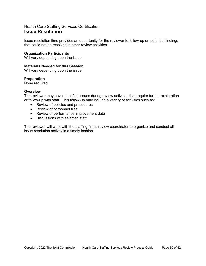## <span id="page-29-0"></span>Health Care Staffing Services Certification **Issue Resolution**

Issue resolution time provides an opportunity for the reviewer to follow-up on potential findings that could not be resolved in other review activities.

#### **Organization Participants**

Will vary depending upon the issue

#### **Materials Needed for this Session**

Will vary depending upon the issue

#### **Preparation**

None required

#### **Overview**

The reviewer may have identified issues during review activities that require further exploration or follow-up with staff. This follow-up may include a variety of activities such as:

- Review of policies and procedures
- Review of personnel files
- Review of performance improvement data
- Discussions with selected staff

The reviewer will work with the staffing firm's review coordinator to organize and conduct all issue resolution activity in a timely fashion.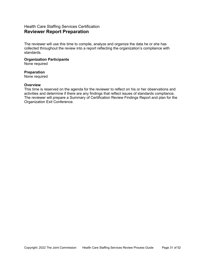## <span id="page-30-0"></span>Health Care Staffing Services Certification **Reviewer Report Preparation**

The reviewer will use this time to compile, analyze and organize the data he or she has collected throughout the review into a report reflecting the organization's compliance with standards.

#### **Organization Participants**

None required

#### **Preparation**

None required

#### **Overview**

This time is reserved on the agenda for the reviewer to reflect on his or her observations and activities and determine if there are any findings that reflect issues of standards compliance. The reviewer will prepare a Summary of Certification Review Findings Report and plan for the Organization Exit Conference.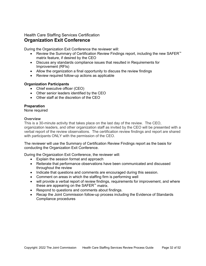## <span id="page-31-0"></span>Health Care Staffing Services Certification **Organization Exit Conference**

During the Organization Exit Conference the reviewer will:

- Review the Summary of Certification Review Findings report, including the new SAFER™ matrix feature, if desired by the CEO
- Discuss any standards compliance issues that resulted in Requirements for Improvement (RFIs)
- Allow the organization a final opportunity to discuss the review findings
- Review required follow-up actions as applicable

#### **Organization Participants**

- Chief executive officer (CEO)
- Other senior leaders identified by the CEO
- Other staff at the discretion of the CEO

#### **Preparation**

None required

#### **Overview**

This is a 30-minute activity that takes place on the last day of the review. The CEO, organization leaders, and other organization staff as invited by the CEO will be presented with a verbal report of the review observations. The certification review findings and report are shared with participants ONLY with the permission of the CEO.

The reviewer will use the Summary of Certification Review Findings report as the basis for conducting the Organization Exit Conference.

During the Organization Exit Conference, the reviewer will:

- Explain the session format and approach
- Reiterate that performance observations have been communicated and discussed throughout the review
- Indicate that questions and comments are encouraged during this session.
- Comment on areas in which the staffing firm is performing well
- will provide a verbal report of review findings, requirements for improvement, and where these are appearing on the SAFER™ matrix.
- Respond to questions and comments about findings.
- Recap the Joint Commission follow-up process including the Evidence of Standards Compliance procedures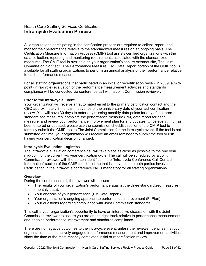## <span id="page-32-0"></span>Health Care Staffing Services Certification **Intra-cycle Evaluation Process**

All organizations participating in the certification process are required to collect, report, and monitor their performance relative to the standardized measures on an ongoing basis. The Certification Measure Information Process (CMIP) tool assists certified organizations with the data collection, reporting and monitoring requirements associated with the standardized measures. The CMIP tool is available on your organization's secure extranet site, The Joint Commission *Connect*. The Performance Measure (PM) Data Report portion of the CMIP tool is available for all staffing organizations to perform an annual analysis of their performance relative to each performance measure.

For all staffing organizations that participated in an initial or recertification review in 2009, a midpoint (intra-cycle) evaluation of the performance measurement activities and standards compliance will be conducted via conference call with a Joint Commission reviewer.

#### **Prior to the Intra-cycle Event**

Your organization will receive an automated email to the primary certification contact and the CEO approximately 3 months in advance of the anniversary date of your last certification review. You will have 30 days to enter any missing monthly data points for any of the three standardized measures, complete the performance measure (PM) data report for each measure, and review your performance improvement plan for any updates. Once everything has been entered or updated, please use the submission checklist section of the CMIP tool to formally submit the CMIP tool to The Joint Commission for the intra-cycle event. If the tool is not submitted on time, your organization will receive an email reminder to submit the tool or risk having your certification decision changed.

#### **Intra-cycle Evaluation Logistics**

The intra-cycle evaluation conference call will take place as close as possible to the one year mid-point of the current two year certification cycle. The call will be scheduled by a Joint Commission reviewer with the person identified in the "Intra-cycle Conference Call Contact Information" section of the CMIP tool for a time that is convenient to both parties involved. Participation in the intra-cycle conference call is mandatory for all staffing organizations.

#### **Overview**

During the conference call, the reviewer will discuss

- The results of your organization's performance against the three standardized measures (monthly data),
- Your analysis of your performance (PM Data Report),
- Your organization's ongoing approach to performance improvement (PI Plan)
- Your questions regarding compliance with Joint Commission standards

This call is your organization's opportunity to have an interactive discussion with the Joint Commission reviewer to assure you are on the right track relative to performance measurement and ongoing performance improvement and standards compliance.

There are no negative outcomes to the intra-cycle event, unless the reviewer identifies that your organization has not actively engaged in performance measurement and improvement activities since the time of the most recently completed initial or recertification review.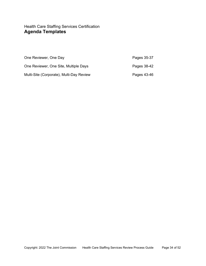## <span id="page-33-0"></span>Health Care Staffing Services Certification **Agenda Templates**

| One Reviewer, One Day                    | Pages 35-37 |
|------------------------------------------|-------------|
| One Reviewer, One Site, Multiple Days    | Pages 38-42 |
| Multi-Site (Corporate), Multi-Day Review | Pages 43-46 |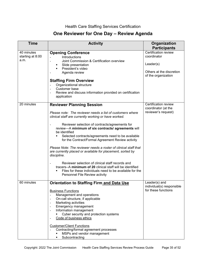## Health Care Staffing Services Certification

## **One Reviewer for One Day – Review Agenda**

| <b>Time</b>                            | <b>Activity</b>                                                                                                                                                                                                                                                                                                                                                                                                                                                                                                                                                                                                                                                                                                                                                | Organization<br><b>Participants</b>                                                                 |
|----------------------------------------|----------------------------------------------------------------------------------------------------------------------------------------------------------------------------------------------------------------------------------------------------------------------------------------------------------------------------------------------------------------------------------------------------------------------------------------------------------------------------------------------------------------------------------------------------------------------------------------------------------------------------------------------------------------------------------------------------------------------------------------------------------------|-----------------------------------------------------------------------------------------------------|
| 40 minutes<br>starting at 8:00<br>a.m. | <b>Opening Conference</b><br>Introductions<br>Joint Commission & Certification overview<br>Slide presentation<br>$\blacksquare$<br>President's video<br>Agenda review<br><b>Staffing Firm Overview</b><br>Organizational structure<br>Customer base<br>Review and discuss information provided on certification<br>application                                                                                                                                                                                                                                                                                                                                                                                                                                 | Certification review<br>coordinator<br>Leader(s)<br>Others at the discretion<br>of the organization |
| 20 minutes                             | <b>Reviewer Planning Session</b><br>Please note: The reviewer needs a list of customers where<br>clinical staff are currently working or have worked.<br>Reviewer selection of contracts/agreements for<br>review-A minimum of six contracts/ agreements will<br>be identified<br>Selected contracts/agreements need to be available<br>٠<br>for the Contract/Formal Agreement Review activity<br>Please Note: The reviewer needs a roster of clinical staff that<br>are currently placed or available for placement, sorted by<br>discipline.<br>Reviewer selection of clinical staff records and<br>tracers--A minimum of 20 clinical staff will be identified<br>Files for these individuals need to be available for the<br>Personnel File Review activity | Certification review<br>coordinator (at the<br>reviewer's request)                                  |
| 60 minutes                             | <b>Orientation to Staffing Firm and Data Use</b><br><b>Business Functions</b><br>Management and operations<br>On-call structure, if applicable<br>Marketing activities<br>Emergency management<br>Information management<br>Cyber security and protection systems<br>Code of business ethics<br><b>Customer/Client Functions</b><br>Contracting/formal agreement processes<br>MSPs and vendor management<br>Subcontracting                                                                                                                                                                                                                                                                                                                                     | Leader(s) and<br>individual(s) responsible<br>for these functions                                   |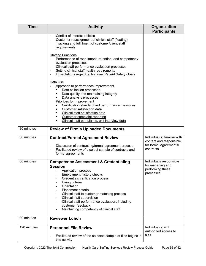| <b>Time</b> | <b>Activity</b>                                                                                                                                                                                                                                                                                                                                                                                                      | Organization<br><b>Participants</b>                                                           |
|-------------|----------------------------------------------------------------------------------------------------------------------------------------------------------------------------------------------------------------------------------------------------------------------------------------------------------------------------------------------------------------------------------------------------------------------|-----------------------------------------------------------------------------------------------|
|             | Conflict of interest policies<br>Customer reassignment of clinical staff (floating)<br>Tracking and fulfillment of customer/client staff<br>requirements                                                                                                                                                                                                                                                             |                                                                                               |
|             | <b>Staffing Functions</b><br>Performance of recruitment, retention, and competency<br>evaluation processes<br>Clinical staff performance evaluation processes<br>Setting clinical staff health requirements<br><b>Expectations regarding National Patient Safety Goals</b><br>$\overline{\phantom{0}}$                                                                                                               |                                                                                               |
|             | Data Use<br>Approach to performance improvement<br>Data collection processes<br>Data quality and maintaining integrity<br>Data analysis processes<br>٠<br>Priorities for improvement<br>Certification standardized performance measures<br>Customer satisfaction data<br>Clinical staff satisfaction data<br>Customer complaint reporting<br>٠<br>Clinical staff complaints, exit interview data                     |                                                                                               |
| 30 minutes  | <b>Review of Firm's Uploaded Documents</b>                                                                                                                                                                                                                                                                                                                                                                           |                                                                                               |
| 30 minutes  | <b>Contract/Formal Agreement Review</b><br>Discussion of contracting/formal agreement process<br>Facilitated review of a select sample of contracts and<br>formal agreements                                                                                                                                                                                                                                         | Individual(s) familiar with<br>content and responsible<br>for formal agreements/<br>contracts |
| 60 minutes  | <b>Competence Assessment &amp; Credentialing</b><br><b>Session</b><br>Application process<br>Employment history checks<br>Credentials verification process<br>Hiring criteria<br>Orientation<br>Placement criteria<br>Clinical staff to customer matching process<br>Clinical staff supervision<br>Clinical staff performance evaluation, including<br>customer feedback<br>Maintaining competency of clinical staff | Individuals responsible<br>for managing and<br>performing these<br>processes                  |
| 30 minutes  | <b>Reviewer Lunch</b>                                                                                                                                                                                                                                                                                                                                                                                                |                                                                                               |
| 120 minutes | <b>Personnel File Review</b><br>Facilitated review of the selected sample of files begins in<br>this activity                                                                                                                                                                                                                                                                                                        | Individual(s) with<br>authorized access to<br>files                                           |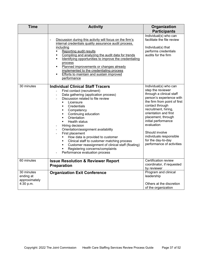| <b>Time</b>                                           | <b>Activity</b>                                                                                                                                                                                                                                                                                                                                                                                                                                                                                                                                                                                                                                 | Organization<br><b>Participants</b>                                                                                                                                                                                                                                                                                                                               |
|-------------------------------------------------------|-------------------------------------------------------------------------------------------------------------------------------------------------------------------------------------------------------------------------------------------------------------------------------------------------------------------------------------------------------------------------------------------------------------------------------------------------------------------------------------------------------------------------------------------------------------------------------------------------------------------------------------------------|-------------------------------------------------------------------------------------------------------------------------------------------------------------------------------------------------------------------------------------------------------------------------------------------------------------------------------------------------------------------|
|                                                       | Discussion during this activity will focus on the firm's<br>internal credentials quality assurance audit process.<br>including<br>Reporting audit results<br>$\blacksquare$<br>Compiling and analyzing the audit data for trends<br>$\blacksquare$<br>Identifying opportunities to improve the credentialing<br>٠<br>process<br>Planned improvements or changes already<br>٠<br>implemented to the credentialing process<br><b>Efforts to maintain and sustain improved</b><br>$\blacksquare$<br>performance                                                                                                                                    | Individual(s) who can<br>facilitate the file review<br>Individual(s) that<br>performs credentials<br>audits for the firm                                                                                                                                                                                                                                          |
| 30 minutes                                            | <b>Individual Clinical Staff Tracers</b><br>First contact (recruitment)<br>$\blacksquare$<br>Data gathering (application process)<br>Discussion related to file review<br>Licensure<br>$\blacksquare$<br>Credentials<br>٠<br>Competency<br>٠<br>Continuing education<br>٠<br>Orientation<br>$\blacksquare$<br>Health status<br>٠<br>Hiring decision<br>Orientation/assignment availability<br>First placement<br>How data is provided to customer<br>٠<br>Clinical staff to customer matching process<br>٠<br>Customer reassignment of clinical staff (floating)<br>٠<br>Registering concerns/complaints<br>٠<br>Performance evaluation process | Individual(s) who can<br>step the reviewer<br>through a clinical staff<br>person's experience with<br>the firm from point of first<br>contact through<br>recruitment, hiring,<br>orientation and first<br>placement, through<br>initial performance<br>evaluation<br>Should involve<br>individuals responsible<br>for the day-to-day<br>performance of activities |
| 60 minutes                                            | <b>Issue Resolution &amp; Reviewer Report</b><br><b>Preparation</b>                                                                                                                                                                                                                                                                                                                                                                                                                                                                                                                                                                             | Certification review<br>coordinator, if requested<br>by reviewer                                                                                                                                                                                                                                                                                                  |
| 30 minutes<br>ending at<br>approximately<br>4:30 p.m. | <b>Organization Exit Conference</b>                                                                                                                                                                                                                                                                                                                                                                                                                                                                                                                                                                                                             | Program and clinical<br>leadership<br>Others at the discretion<br>of the organization                                                                                                                                                                                                                                                                             |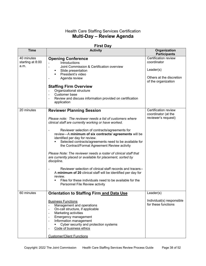## Health Care Staffing Services Certification **Multi-Day – Review Agenda**

| <b>First Day</b>                       |                                                                                                                                                                                                                                                                                                                                                                                                                                                                                                                                                                                                                                                                                                                                                                                                            |                                                                                                     |
|----------------------------------------|------------------------------------------------------------------------------------------------------------------------------------------------------------------------------------------------------------------------------------------------------------------------------------------------------------------------------------------------------------------------------------------------------------------------------------------------------------------------------------------------------------------------------------------------------------------------------------------------------------------------------------------------------------------------------------------------------------------------------------------------------------------------------------------------------------|-----------------------------------------------------------------------------------------------------|
| <b>Time</b>                            | <b>Activity</b>                                                                                                                                                                                                                                                                                                                                                                                                                                                                                                                                                                                                                                                                                                                                                                                            | Organization<br><b>Participants</b>                                                                 |
| 40 minutes<br>starting at 8:00<br>a.m. | <b>Opening Conference</b><br>Introductions<br>Joint Commission & Certification overview<br>$\sim$<br>Slide presentation<br>٠<br>President's video<br>Agenda review<br><b>Staffing Firm Overview</b><br>Organizational structure<br>Customer base<br>$\blacksquare$<br>Review and discuss information provided on certification<br>$\blacksquare$<br>application                                                                                                                                                                                                                                                                                                                                                                                                                                            | Certification review<br>coordinator<br>Leader(s)<br>Others at the discretion<br>of the organization |
| 20 minutes                             | <b>Reviewer Planning Session</b><br>Please note: The reviewer needs a list of customers where<br>clinical staff are currently working or have worked.<br>Reviewer selection of contracts/agreements for<br>review-A minimum of six contracts/ agreements will be<br>identified per day for review.<br>Selected contracts/agreements need to be available for<br>the Contract/Formal Agreement Review activity<br>Please Note: The reviewer needs a roster of clinical staff that<br>are currently placed or available for placement, sorted by<br>discipline.<br>Reviewer selection of clinical staff records and tracers--<br>A minimum of 20 clinical staff will be identified per day for<br>review.<br>Files for these individuals need to be available for the<br>٠<br>Personnel File Review activity | Certification review<br>coordinator (at the<br>reviewer's request)                                  |
| 60 minutes                             | <b>Orientation to Staffing Firm and Data Use</b><br><b>Business Functions</b><br>Management and operations<br>On-call structure, if applicable<br>$\blacksquare$<br>Marketing activities<br>$\blacksquare$<br>Emergency management<br>$\overline{\phantom{a}}$<br>Information management<br>$\blacksquare$<br>Cyber security and protection systems<br>Code of business ethics<br><b>Customer/Client Functions</b>                                                                                                                                                                                                                                                                                                                                                                                         | Leader(s)<br>Individual(s) responsible<br>for these functions                                       |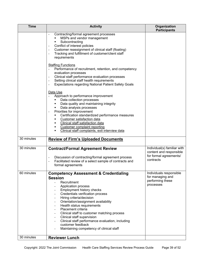| <b>Time</b> | <b>Activity</b>                                                                                                                                                                                                                                                                                                                                                                                                                                                                                    | Organization<br><b>Participants</b>                                                           |
|-------------|----------------------------------------------------------------------------------------------------------------------------------------------------------------------------------------------------------------------------------------------------------------------------------------------------------------------------------------------------------------------------------------------------------------------------------------------------------------------------------------------------|-----------------------------------------------------------------------------------------------|
|             | Contracting/formal agreement processes<br>MSPs and vendor management<br>Subcontracting<br>Conflict of interest policies<br>Customer reassignment of clinical staff (floating)<br>Tracking and fulfillment of customer/client staff<br>requirements<br><b>Staffing Functions</b>                                                                                                                                                                                                                    |                                                                                               |
|             | Performance of recruitment, retention, and competency<br>evaluation processes<br>Clinical staff performance evaluation processes<br>$\blacksquare$<br>Setting clinical staff health requirements<br><b>Expectations regarding National Patient Safety Goals</b><br>$\blacksquare$                                                                                                                                                                                                                  |                                                                                               |
|             | Data Use<br>Approach to performance improvement<br>Data collection processes<br>Data quality and maintaining integrity<br>Data analysis processes<br>Priorities for improvement<br>Certification standardized performance measures<br>Customer satisfaction data<br>Clinical staff satisfaction data<br><b>Customer complaint reporting</b><br>Clinical staff complaints, exit interview data                                                                                                      |                                                                                               |
| 30 minutes  | <b>Review of Firm's Uploaded Documents</b>                                                                                                                                                                                                                                                                                                                                                                                                                                                         |                                                                                               |
| 30 minutes  | <b>Contract/Formal Agreement Review</b><br>Discussion of contracting/formal agreement process<br>$\overline{\phantom{a}}$<br>Facilitated review of a select sample of contracts and<br>formal agreements                                                                                                                                                                                                                                                                                           | Individual(s) familiar with<br>content and responsible<br>for formal agreements/<br>contracts |
| 60 minutes  | <b>Competency Assessment &amp; Credentialing</b><br><b>Session</b><br>Recruitment<br>Application process<br>Employment history checks<br>Credentials verification process<br>Hiring criteria/decision<br>Orientation/assignment availability<br>Health status requirements<br>Placement criteria<br>Clinical staff to customer matching process<br>Clinical staff supervision<br>Clinical staff performance evaluation, including<br>customer feedback<br>Maintaining competency of clinical staff | Individuals responsible<br>for managing and<br>performing these<br>processes                  |
| 30 minutes  | <b>Reviewer Lunch</b>                                                                                                                                                                                                                                                                                                                                                                                                                                                                              |                                                                                               |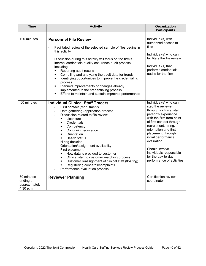| <b>Time</b>                                           | <b>Activity</b>                                                                                                                                                                                                                                                                                                                                                                                                                                                                                                                                                                                                                                   | Organization<br><b>Participants</b>                                                                                                                                                                                                                                                                                                                               |
|-------------------------------------------------------|---------------------------------------------------------------------------------------------------------------------------------------------------------------------------------------------------------------------------------------------------------------------------------------------------------------------------------------------------------------------------------------------------------------------------------------------------------------------------------------------------------------------------------------------------------------------------------------------------------------------------------------------------|-------------------------------------------------------------------------------------------------------------------------------------------------------------------------------------------------------------------------------------------------------------------------------------------------------------------------------------------------------------------|
|                                                       |                                                                                                                                                                                                                                                                                                                                                                                                                                                                                                                                                                                                                                                   |                                                                                                                                                                                                                                                                                                                                                                   |
| 120 minutes                                           | <b>Personnel File Review</b><br>Facilitated review of the selected sample of files begins in<br>÷,<br>this activity<br>Discussion during this activity will focus on the firm's<br>$\qquad \qquad \blacksquare$<br>internal credentials quality assurance audit process<br>including<br>Reporting audit results<br>Compiling and analyzing the audit data for trends<br>Identifying opportunities to improve the credentialing<br>$\blacksquare$<br>process<br>Planned improvements or changes already<br>implemented to the credentialing process<br>Efforts to maintain and sustain improved performance<br>٠                                   | Individual(s) with<br>authorized access to<br>files<br>Individual(s) who can<br>facilitate the file review<br>Individual(s) that<br>performs credentials<br>audits for the firm                                                                                                                                                                                   |
| 60 minutes                                            | <b>Individual Clinical Staff Tracers</b><br>First contact (recruitment)<br>Data gathering (application process)<br>Discussion related to file review<br>$\blacksquare$<br>Licensure<br>Credentials<br>$\blacksquare$<br>Competency<br>٠<br>Continuing education<br>٠<br>Orientation<br>$\blacksquare$<br><b>Health status</b><br>٠<br>Hiring decision<br>Orientation/assignment availability<br>First placement<br>How data is provided to customer<br>٠<br>Clinical staff to customer matching process<br>٠<br>Customer reassignment of clinical staff (floating)<br>٠<br>Registering concerns/complaints<br>٠<br>Performance evaluation process | Individual(s) who can<br>step the reviewer<br>through a clinical staff<br>person's experience<br>with the firm from point<br>of first contact through<br>recruitment, hiring,<br>orientation and first<br>placement, through<br>initial performance<br>evaluation<br>Should involve<br>individuals responsible<br>for the day-to-day<br>performance of activities |
| 30 minutes<br>ending at<br>approximately<br>4:30 p.m. | <b>Reviewer Planning</b>                                                                                                                                                                                                                                                                                                                                                                                                                                                                                                                                                                                                                          | <b>Certification review</b><br>coordinator                                                                                                                                                                                                                                                                                                                        |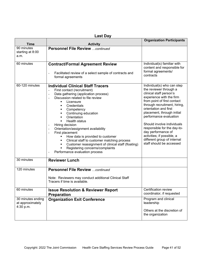| <b>Time</b>                                        | <b>Activity</b>                                                                                                                                                                                                                                                                                                                                                                                                                                                                                                                                                                                                                                       | <b>Organization Participants</b>                                                                                                                                                                                                                                                                                                                                                                                                        |
|----------------------------------------------------|-------------------------------------------------------------------------------------------------------------------------------------------------------------------------------------------------------------------------------------------------------------------------------------------------------------------------------------------------------------------------------------------------------------------------------------------------------------------------------------------------------------------------------------------------------------------------------------------------------------------------------------------------------|-----------------------------------------------------------------------------------------------------------------------------------------------------------------------------------------------------------------------------------------------------------------------------------------------------------------------------------------------------------------------------------------------------------------------------------------|
| 90 minutes<br>starting at 8:00<br>a.m.             | <b>Personnel File Review continued</b>                                                                                                                                                                                                                                                                                                                                                                                                                                                                                                                                                                                                                |                                                                                                                                                                                                                                                                                                                                                                                                                                         |
| 60 minutes                                         | <b>Contract/Formal Agreement Review</b><br>Facilitated review of a select sample of contracts and<br>formal agreements                                                                                                                                                                                                                                                                                                                                                                                                                                                                                                                                | Individual(s) familiar with<br>content and responsible for<br>formal agreements/<br>contracts                                                                                                                                                                                                                                                                                                                                           |
| 60-120 minutes                                     | <b>Individual Clinical Staff Tracers</b><br>First contact (recruitment)<br>$\qquad \qquad \blacksquare$<br>Data gathering (application process)<br>Discussion related to file review<br>$\blacksquare$<br>Licensure<br>Credentials<br>٠<br>Competency<br>٠<br>Continuing education<br>٠<br>Orientation<br>٠<br><b>Health status</b><br>٠<br>Hiring decision<br>Orientation/assignment availability<br>$\blacksquare$<br>First placement<br>How data is provided to customer<br>Clinical staff to customer matching process<br>Customer reassignment of clinical staff (floating)<br>Registering concerns/complaints<br>Performance evaluation process | Individual(s) who can step<br>the reviewer through a<br>clinical staff person's<br>experience with the firm<br>from point of first contact<br>through recruitment, hiring,<br>orientation and first<br>placement, through initial<br>performance evaluation<br>Should involve individuals<br>responsible for the day-to-<br>day performance of<br>activities; if possible, a<br>different group of internal<br>staff should be accessed |
| 30 minutes                                         | <b>Reviewer Lunch</b>                                                                                                                                                                                                                                                                                                                                                                                                                                                                                                                                                                                                                                 |                                                                                                                                                                                                                                                                                                                                                                                                                                         |
| 120 minutes                                        | <b>Personnel File Review  continued</b><br>Note: Reviewers may conduct additional Clinical Staff<br>Tracers if time is available.                                                                                                                                                                                                                                                                                                                                                                                                                                                                                                                     |                                                                                                                                                                                                                                                                                                                                                                                                                                         |
| 60 minutes                                         | <b>Issue Resolution &amp; Reviewer Report</b><br><b>Preparation</b>                                                                                                                                                                                                                                                                                                                                                                                                                                                                                                                                                                                   | Certification review<br>coordinator, if requested                                                                                                                                                                                                                                                                                                                                                                                       |
| 30 minutes ending<br>at approximately<br>4:30 p.m. | <b>Organization Exit Conference</b>                                                                                                                                                                                                                                                                                                                                                                                                                                                                                                                                                                                                                   | Program and clinical<br>leadership<br>Others at the discretion of<br>the organization                                                                                                                                                                                                                                                                                                                                                   |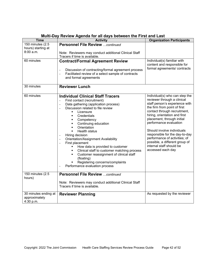| <b>Time</b>                                         | <b>Activity</b>                                                                                                                                                                                                                                                                                                                                                                                                                                                                                                                                                                                                                             | <b>Organization Participants</b>                                                                                                                                                                                                                                                                                                                                                                                                             |
|-----------------------------------------------------|---------------------------------------------------------------------------------------------------------------------------------------------------------------------------------------------------------------------------------------------------------------------------------------------------------------------------------------------------------------------------------------------------------------------------------------------------------------------------------------------------------------------------------------------------------------------------------------------------------------------------------------------|----------------------------------------------------------------------------------------------------------------------------------------------------------------------------------------------------------------------------------------------------------------------------------------------------------------------------------------------------------------------------------------------------------------------------------------------|
| 150 minutes (2.5<br>hours) starting at<br>8:00 a.m. | <b>Personnel File Review continued</b><br>Note: Reviewers may conduct additional Clinical Staff<br>Tracers if time is available.                                                                                                                                                                                                                                                                                                                                                                                                                                                                                                            |                                                                                                                                                                                                                                                                                                                                                                                                                                              |
| 60 minutes                                          | <b>Contract/Formal Agreement Review</b><br>Discussion of contracting/formal agreement process<br>$\blacksquare$<br>Facilitated review of a select sample of contracts<br>$\blacksquare$<br>and formal agreements                                                                                                                                                                                                                                                                                                                                                                                                                            | Individual(s) familiar with<br>content and responsible for<br>formal agreements/ contracts                                                                                                                                                                                                                                                                                                                                                   |
| 30 minutes                                          | <b>Reviewer Lunch</b>                                                                                                                                                                                                                                                                                                                                                                                                                                                                                                                                                                                                                       |                                                                                                                                                                                                                                                                                                                                                                                                                                              |
| 60 minutes                                          | <b>Individual Clinical Staff Tracers</b><br>First contact (recruitment)<br>$\blacksquare$<br>Data gathering (application process)<br>Discussion related to file review<br>×,<br>Licensure<br>Credentials<br>٠<br>Competency<br>٠<br>Continuing education<br>$\blacksquare$<br>Orientation<br>٠<br><b>Health status</b><br>Hiring decision<br>Orientation/Assignment Availability<br>First placement<br>$\overline{a}$<br>How data is provided to customer<br>Clinical staff to customer matching process<br>٠<br>Customer reassignment of clinical staff<br>(floating)<br>Registering concerns/complaints<br>Performance evaluation process | Individual(s) who can step the<br>reviewer through a clinical<br>staff person's experience with<br>the firm from point of first<br>contact through recruitment,<br>hiring, orientation and first<br>placement, through initial<br>performance evaluation<br>Should involve individuals<br>responsible for the day-to-day<br>performance of activities; of<br>possible, a different group of<br>internal staff should be<br>accessed each day |
| 150 minutes (2.5<br>hours)                          | <b>Personnel File Review continued</b>                                                                                                                                                                                                                                                                                                                                                                                                                                                                                                                                                                                                      |                                                                                                                                                                                                                                                                                                                                                                                                                                              |
|                                                     | Note: Reviewers may conduct additional Clinical Staff<br>Tracers if time is available.                                                                                                                                                                                                                                                                                                                                                                                                                                                                                                                                                      |                                                                                                                                                                                                                                                                                                                                                                                                                                              |
| 30 minutes ending at<br>approximately<br>4:30 p.m.  | <b>Reviewer Planning</b>                                                                                                                                                                                                                                                                                                                                                                                                                                                                                                                                                                                                                    | As requested by the reviewer                                                                                                                                                                                                                                                                                                                                                                                                                 |

## **Multi-Day Review Agenda for all days between the First and Last**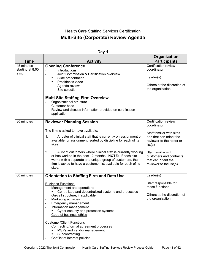## Health Care Staffing Services Certification **Multi-Site (Corporate) Review Agenda**

|                                        |                                                                                                                                                                                                                                                                                                                                                                                          | Organization                                                                                        |
|----------------------------------------|------------------------------------------------------------------------------------------------------------------------------------------------------------------------------------------------------------------------------------------------------------------------------------------------------------------------------------------------------------------------------------------|-----------------------------------------------------------------------------------------------------|
| <b>Time</b>                            | <b>Activity</b>                                                                                                                                                                                                                                                                                                                                                                          | <b>Participants</b>                                                                                 |
| 45 minutes<br>starting at 8:00<br>a.m. | <b>Opening Conference</b><br>Introductions<br>Joint Commission & Certification overview<br>$\qquad \qquad \blacksquare$<br>Slide presentation<br>President's video<br>Agenda review<br>Site selection<br><b>Multi-Site Staffing Firm Overview</b><br>Organizational structure                                                                                                            | Certification review<br>coordinator<br>Leader(s)<br>Others at the discretion of<br>the organization |
|                                        | Customer base<br>Review and discuss information provided on certification<br>application                                                                                                                                                                                                                                                                                                 |                                                                                                     |
| 30 minutes                             | <b>Reviewer Planning Session</b>                                                                                                                                                                                                                                                                                                                                                         | Certification review<br>coordinator                                                                 |
|                                        | The firm is asked to have available:<br>1.<br>A roster of clinical staff that is currently on assignment or<br>available for assignment, sorted by discipline for each of its<br>sites.                                                                                                                                                                                                  | Staff familiar with sites<br>and that can orient the<br>reviewer to the roster or<br>list(s)        |
|                                        | 2.<br>A list of customers where clinical staff is currently working<br>or has worked in the past 12 months. NOTE: If each site<br>works with a separate and unique group of customers, the<br>firm is asked to have a customer list available for each of its<br>sites.                                                                                                                  | Staff familiar with<br>customers and contracts<br>that can orient the<br>reviewer to the list(s)    |
| 60 minutes                             | <b>Orientation to Staffing Firm and Data Use</b>                                                                                                                                                                                                                                                                                                                                         | Leader(s)                                                                                           |
|                                        | <b>Business Functions</b><br>Management and operations<br>Centralized and decentralized systems and processes<br>On-call structure, if applicable<br>$\qquad \qquad \blacksquare$<br>Marketing activities<br>$\qquad \qquad \blacksquare$<br><b>Emergency management</b><br>Information management<br>Cyber security and protection systems<br>Code of business ethics<br>$\overline{a}$ | Staff responsible for<br>these functions<br>Others at the discretion of<br>the organization         |
|                                        | <b>Customer/Client Functions</b><br>Contracting/formal agreement processes<br>MSPs and vendor management<br>Subcontracting<br>Conflict of interest policies                                                                                                                                                                                                                              |                                                                                                     |

#### **Day 1**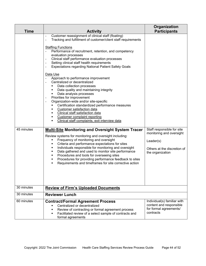| <b>Time</b> | <b>Activity</b>                                                                                                                                                                                                                                                                                                                                                                                                                                                                                                                                                                                                                                                                                                                                                                                                                                                                                                                                                                                                                                                                                                                                                                                                                                                                                                                                                                                                                                                                                                                                                                   | Organization<br><b>Participants</b>                                                                                    |
|-------------|-----------------------------------------------------------------------------------------------------------------------------------------------------------------------------------------------------------------------------------------------------------------------------------------------------------------------------------------------------------------------------------------------------------------------------------------------------------------------------------------------------------------------------------------------------------------------------------------------------------------------------------------------------------------------------------------------------------------------------------------------------------------------------------------------------------------------------------------------------------------------------------------------------------------------------------------------------------------------------------------------------------------------------------------------------------------------------------------------------------------------------------------------------------------------------------------------------------------------------------------------------------------------------------------------------------------------------------------------------------------------------------------------------------------------------------------------------------------------------------------------------------------------------------------------------------------------------------|------------------------------------------------------------------------------------------------------------------------|
| 45 minutes  | Customer reassignment of clinical staff (floating)<br>Tracking and fulfillment of customer/client staff requirements<br>$\overline{a}$<br><b>Staffing Functions</b><br>Performance of recruitment, retention, and competency<br>$\blacksquare$<br>evaluation processes<br>Clinical staff performance evaluation processes<br>$\overline{\phantom{a}}$<br>Setting clinical staff health requirements<br>$\overline{\phantom{a}}$<br><b>Expectations regarding National Patient Safety Goals</b><br>$\overline{\phantom{a}}$<br>Data Use<br>Approach to performance improvement<br>Centralized or decentralized<br>Data collection processes<br>Data quality and maintaining integrity<br>Data analysis processes<br>Priorities for improvement<br>$\overline{\phantom{a}}$<br>Organization-wide and/or site-specific<br>$\qquad \qquad \blacksquare$<br>Certification standardized performance measures<br>Customer satisfaction data<br>Clinical staff satisfaction data<br><b>Customer complaint reporting</b><br>٠<br>Clinical staff complaints, exit interview data<br>٠<br><b>Multi-Site Monitoring and Oversight System Tracer</b><br>Review systems for monitoring and oversight including:<br>Frequency of monitoring and oversight<br>٠<br>Criteria and performance expectations for sites<br>Individuals responsible for monitoring and oversight<br>Data gathered and used to monitor site performance<br>Procedures and tools for overseeing sites<br>Procedures for providing performance feedback to sites<br>Requirements and timeframes for site corrective action | Staff responsible for site<br>monitoring and oversight<br>Leader(s)<br>Others at the discretion of<br>the organization |
| 30 minutes  | <b>Review of Firm's Uploaded Documents</b>                                                                                                                                                                                                                                                                                                                                                                                                                                                                                                                                                                                                                                                                                                                                                                                                                                                                                                                                                                                                                                                                                                                                                                                                                                                                                                                                                                                                                                                                                                                                        |                                                                                                                        |
| 30 minutes  | <b>Reviewer Lunch</b>                                                                                                                                                                                                                                                                                                                                                                                                                                                                                                                                                                                                                                                                                                                                                                                                                                                                                                                                                                                                                                                                                                                                                                                                                                                                                                                                                                                                                                                                                                                                                             |                                                                                                                        |
| 60 minutes  | <b>Contract/Formal Agreement Process</b>                                                                                                                                                                                                                                                                                                                                                                                                                                                                                                                                                                                                                                                                                                                                                                                                                                                                                                                                                                                                                                                                                                                                                                                                                                                                                                                                                                                                                                                                                                                                          | Individual(s) familiar with                                                                                            |
|             | Centralized or decentralized<br>Review of contracting or formal agreement process<br>Facilitated review of a select sample of contracts and<br>formal agreements                                                                                                                                                                                                                                                                                                                                                                                                                                                                                                                                                                                                                                                                                                                                                                                                                                                                                                                                                                                                                                                                                                                                                                                                                                                                                                                                                                                                                  | content and responsible<br>for formal agreements/<br>contracts                                                         |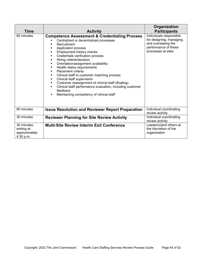|                                                        |                                                                                                                                                                                                                                                                                                                                                                                                                                                                                                                                                                                                                        | Organization                                                                                                            |
|--------------------------------------------------------|------------------------------------------------------------------------------------------------------------------------------------------------------------------------------------------------------------------------------------------------------------------------------------------------------------------------------------------------------------------------------------------------------------------------------------------------------------------------------------------------------------------------------------------------------------------------------------------------------------------------|-------------------------------------------------------------------------------------------------------------------------|
| Time                                                   | <b>Activity</b>                                                                                                                                                                                                                                                                                                                                                                                                                                                                                                                                                                                                        | <b>Participants</b>                                                                                                     |
| 60 minutes                                             | <b>Competence Assessment &amp; Credentialing Process</b><br>Centralized or decentralized processes<br>Recruitment<br>Application process<br>Employment history checks<br>Credentials verification process<br>٠<br>Hiring criteria/decision<br>٠<br>Orientation/assignment availability<br>٠<br>Health status requirements<br>٠<br>Placement criteria<br>Clinical staff to customer matching process<br>Clinical staff supervision<br>٠<br>Customer reassignment of clinical staff (floating)<br>٠<br>Clinical staff performance evaluation, including customer<br>feedback<br>Maintaining competency of clinical staff | Individuals responsible<br>for designing, managing,<br>and overseeing the<br>performance of these<br>processes at sites |
| 60 minutes                                             | <b>Issue Resolution and Reviewer Report Preparation</b>                                                                                                                                                                                                                                                                                                                                                                                                                                                                                                                                                                | Individual coordinating<br>review activity                                                                              |
| 30 minutes                                             | <b>Reviewer Planning for Site Review Activity</b>                                                                                                                                                                                                                                                                                                                                                                                                                                                                                                                                                                      | Individual coordinating<br>review activity                                                                              |
| 30 minutes,<br>ending at<br>approximately<br>4:30 p.m. | <b>Multi-Site Review Interim Exit Conference</b>                                                                                                                                                                                                                                                                                                                                                                                                                                                                                                                                                                       | Leader(s) and others at<br>the discretion of the<br>organization                                                        |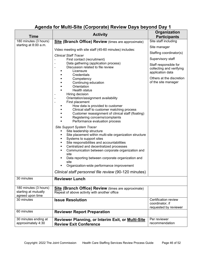## **Agenda for Multi-Site (Corporate) Review Days beyond Day 1**

| <b>Time</b>                                                       | <b>Activity</b>                                                                                                                                                                                                                                                                                                                                                                                                                                                                                 | Organization<br><b>Participants</b>                                   |
|-------------------------------------------------------------------|-------------------------------------------------------------------------------------------------------------------------------------------------------------------------------------------------------------------------------------------------------------------------------------------------------------------------------------------------------------------------------------------------------------------------------------------------------------------------------------------------|-----------------------------------------------------------------------|
| 180 minutes (3 hours)                                             | <b>Site (Branch Office) Review</b> (times are approximate)                                                                                                                                                                                                                                                                                                                                                                                                                                      | Site staff including                                                  |
| starting at 8:00 a.m.                                             |                                                                                                                                                                                                                                                                                                                                                                                                                                                                                                 | Site manager                                                          |
|                                                                   | Video meeting with site staff (45-60 minutes) includes:                                                                                                                                                                                                                                                                                                                                                                                                                                         | Staffing coordinator(s)                                               |
|                                                                   | <b>Clinical Staff Tracer</b><br>First contact (recruitment)                                                                                                                                                                                                                                                                                                                                                                                                                                     | Supervisory staff                                                     |
|                                                                   | Data gathering (application process)<br>Discussion related to file review<br>$\blacksquare$<br>Licensure<br>Credentials                                                                                                                                                                                                                                                                                                                                                                         | Staff responsible for<br>collecting and verifying<br>application data |
|                                                                   | Competency<br>Continuing education<br>Orientation<br><b>Health status</b>                                                                                                                                                                                                                                                                                                                                                                                                                       | Others at the discretion<br>of the site manager                       |
|                                                                   | Hiring decision                                                                                                                                                                                                                                                                                                                                                                                                                                                                                 |                                                                       |
|                                                                   | Orientation/assignment availability<br>First placement<br>$\overline{\phantom{a}}$                                                                                                                                                                                                                                                                                                                                                                                                              |                                                                       |
|                                                                   | How data is provided to customer<br>Clinical staff to customer matching process<br>Customer reassignment of clinical staff (floating)<br>Registering concerns/complaints<br>Performance evaluation process                                                                                                                                                                                                                                                                                      |                                                                       |
|                                                                   | Site Support System Tracer<br>Site leadership structure<br>Site placement within multi-site organization structure<br>Systems to support sites<br>٠<br>Site responsibilities and accountabilities<br>٠<br>Centralized and decentralized processes<br>٠<br>Communication between corporate organization and<br>٠<br>site<br>Data reporting between corporate organization and<br>٠<br>site<br>Organization-wide performance improvement<br>Clinical staff personnel file review (90-120 minutes) |                                                                       |
| 30 minutes                                                        | <b>Reviewer Lunch</b>                                                                                                                                                                                                                                                                                                                                                                                                                                                                           |                                                                       |
| 180 minutes (3 hours)<br>starting at mutually<br>agreed upon time | <b>Site (Branch Office) Review</b> (times are approximate)<br>Repeat of above activity with another office                                                                                                                                                                                                                                                                                                                                                                                      |                                                                       |
| 30 minutes                                                        | <b>Issue Resolution</b>                                                                                                                                                                                                                                                                                                                                                                                                                                                                         | Certification review<br>coordinator, if<br>requested by reviewer      |
| 60 minutes                                                        | <b>Reviewer Report Preparation</b>                                                                                                                                                                                                                                                                                                                                                                                                                                                              |                                                                       |
| 30 minutes ending at<br>approximately 4:30                        | <b>Reviewer Planning, or Interim Exit, or Multi-Site</b><br><b>Review Exit Conference</b>                                                                                                                                                                                                                                                                                                                                                                                                       | Per reviewer<br>recommendation                                        |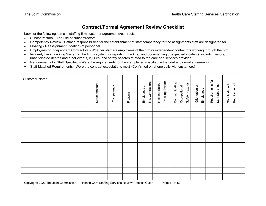## **Contract/Formal Agreement Review Checklist**

Look for the following items in staffing firm customer agreements/contracts.

- Subcontractors The use of subcontractors
- Competency Review Defined responsibilities for the establishment of staff competency for the assignments staff are designated for
- Floating Reassignment (floating) of personnel
- Employees or Independent Contractors Whether staff are employees of the firm or independent contractors working through the firm
- Incident, Error Tracking System The firm's system for reporting, tracking, and documenting unexpected incidents, including errors, unanticipated deaths and other events, injuries, and safety hazards related to the care and services provided
- Requirements for Staff Specified Were the requirements for the staff placed specified in the contract/formal agreement?
- Staff Matched Requirements Were the contract expectations met? (Confirmed on phone calls with customers)

<span id="page-46-0"></span>

| <b>Customer Name</b> | Subcontractors | Competency | Floating | Ind. Contractors<br>Employees or | Tracking System<br>Incident, Error, | Communicating<br>Safety Hazards<br>Occupational | Orientation of<br>Employees | Requirements for<br>Staff Specified | Requirements?<br>Staff Matched |
|----------------------|----------------|------------|----------|----------------------------------|-------------------------------------|-------------------------------------------------|-----------------------------|-------------------------------------|--------------------------------|
|                      |                |            |          |                                  |                                     |                                                 |                             |                                     |                                |
|                      |                |            |          |                                  |                                     |                                                 |                             |                                     |                                |
|                      |                |            |          |                                  |                                     |                                                 |                             |                                     |                                |
|                      |                |            |          |                                  |                                     |                                                 |                             |                                     |                                |
|                      |                |            |          |                                  |                                     |                                                 |                             |                                     |                                |
|                      |                |            |          |                                  |                                     |                                                 |                             |                                     |                                |
|                      |                |            |          |                                  |                                     |                                                 |                             |                                     |                                |
|                      |                |            |          |                                  |                                     |                                                 |                             |                                     |                                |
|                      |                |            |          |                                  |                                     |                                                 |                             |                                     |                                |
|                      |                |            |          |                                  |                                     |                                                 |                             |                                     |                                |
|                      |                |            |          |                                  |                                     |                                                 |                             |                                     |                                |
|                      |                |            |          |                                  |                                     |                                                 |                             |                                     |                                |

Copyright: 2022 The Joint Commission Health Care Staffing Services Review Process Guide Page 47 of 52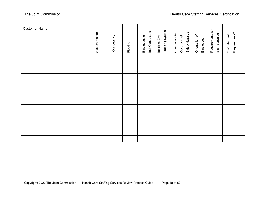| <b>Customer Name</b> | Subcontractors | Competency | Floating | Ind. Contractors<br>Employees or | Tracking System<br>Incident, Error, | Communicating<br>Safety Hazards<br>Occupational | Orientation of<br>Employees | Requirements for<br>Staff Specified | Requirements?<br>Staff Matched |
|----------------------|----------------|------------|----------|----------------------------------|-------------------------------------|-------------------------------------------------|-----------------------------|-------------------------------------|--------------------------------|
|                      |                |            |          |                                  |                                     |                                                 |                             |                                     |                                |
|                      |                |            |          |                                  |                                     |                                                 |                             |                                     |                                |
|                      |                |            |          |                                  |                                     |                                                 |                             |                                     |                                |
|                      |                |            |          |                                  |                                     |                                                 |                             |                                     |                                |
|                      |                |            |          |                                  |                                     |                                                 |                             |                                     |                                |
|                      |                |            |          |                                  |                                     |                                                 |                             |                                     |                                |
|                      |                |            |          |                                  |                                     |                                                 |                             |                                     |                                |
|                      |                |            |          |                                  |                                     |                                                 |                             |                                     |                                |
|                      |                |            |          |                                  |                                     |                                                 |                             |                                     |                                |
|                      |                |            |          |                                  |                                     |                                                 |                             |                                     |                                |
|                      |                |            |          |                                  |                                     |                                                 |                             |                                     |                                |
|                      |                |            |          |                                  |                                     |                                                 |                             |                                     |                                |
|                      |                |            |          |                                  |                                     |                                                 |                             |                                     |                                |
|                      |                |            |          |                                  |                                     |                                                 |                             |                                     |                                |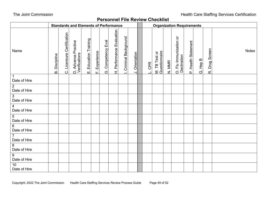## **Personnel File Review Checklist**

<span id="page-48-0"></span>

|                                 | <b>Standards and Elements of Performance</b> |                            |                                      |                       |               |                    |                           |                     |                |  |        |                                |        | <b>Organization Requirements</b>                                   |                     |          |                  |              |  |
|---------------------------------|----------------------------------------------|----------------------------|--------------------------------------|-----------------------|---------------|--------------------|---------------------------|---------------------|----------------|--|--------|--------------------------------|--------|--------------------------------------------------------------------|---------------------|----------|------------------|--------------|--|
| Name                            | <b>B.</b> Discipline                         | C. Licensure Certification | D. Advance Practice<br>Verifications | E. Education Training | F. Experience | G. Competency Eval | H. Performance Evaluation | Criminal Background | J. Orientation |  | L. CPR | M. TB Test or<br>Questionnaire | N. MMR | $\overleftarrow{\mathrm{o}}$<br>O. Flu Immunization<br>Declination | P. Health Statement | Q. Hep B | Drug Screen<br>œ | <b>Notes</b> |  |
| $\overline{1}$<br>Date of Hire  |                                              |                            |                                      |                       |               |                    |                           |                     |                |  |        |                                |        |                                                                    |                     |          |                  |              |  |
| $\overline{2}$<br>Date of Hire  |                                              |                            |                                      |                       |               |                    |                           |                     |                |  |        |                                |        |                                                                    |                     |          |                  |              |  |
| $\mathbf{3}$<br>Date of Hire    |                                              |                            |                                      |                       |               |                    |                           |                     |                |  |        |                                |        |                                                                    |                     |          |                  |              |  |
| $\overline{4}$<br>Date of Hire  |                                              |                            |                                      |                       |               |                    |                           |                     |                |  |        |                                |        |                                                                    |                     |          |                  |              |  |
| $5\phantom{.0}$<br>Date of Hire |                                              |                            |                                      |                       |               |                    |                           |                     |                |  |        |                                |        |                                                                    |                     |          |                  |              |  |
| $6\phantom{1}6$<br>Date of Hire |                                              |                            |                                      |                       |               |                    |                           |                     |                |  |        |                                |        |                                                                    |                     |          |                  |              |  |
| $\overline{7}$<br>Date of Hire  |                                              |                            |                                      |                       |               |                    |                           |                     |                |  |        |                                |        |                                                                    |                     |          |                  |              |  |
| $\overline{8}$<br>Date of Hire  |                                              |                            |                                      |                       |               |                    |                           |                     |                |  |        |                                |        |                                                                    |                     |          |                  |              |  |
| 9<br>Date of Hire               |                                              |                            |                                      |                       |               |                    |                           |                     |                |  |        |                                |        |                                                                    |                     |          |                  |              |  |
| $10$<br>Date of Hire            |                                              |                            |                                      |                       |               |                    |                           |                     |                |  |        |                                |        |                                                                    |                     |          |                  |              |  |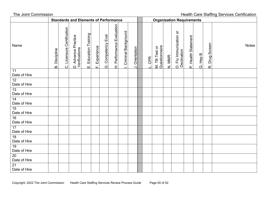The Joint Commission **The Joint Commission** Accounts the Unit of the Unit of the Unit of the Unit of the Unit of the Unit of the Unit of the Unit of the Unit of the Unit of the Unit of the Unit of the Unit of the Unit of t **Standards and Elements of Performance Computer Contrary Property Standards and Elements** H. Performance Evaluation H. Performance Evaluation C. Licensure Certification C. Licensure Certification Criminal Background O. Flu Immunization or<br>Declination I. Criminal Background O. Flu Immunization or Education Training E. Education Training D. Advance Practice<br>Verifications Competency Eval P. Health Statement D. Advance Practice G. Competency Eval P. Health Statement Drug Screen R. Drug Screen Name M. TB Test or<br>Questionnaire **Notes** Experience M. TB Test or Questionnaire F. Experience Verifications Orientation J. Orientation **B.** Discipline B. Discipline Declination Q. Hep B N. MMR L. CPR шi  $\ddot{\circ}$  $\vec{\alpha}$  $\overline{a}$ τŕ, 11 Date of Hire 12 Date of Hire 13 Date of Hire 14 Date of Hire 15 Date of Hire 16 Date of Hire 17 Date of Hire 18 Date of Hire 19 Date of Hire 20 Date of Hire 21 Date of Hire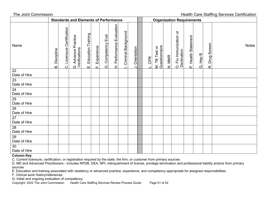The Joint Commission **The Staffing Services Certification Standards and Elements of Performance Conservant Conservation Requirements** H. Performance Evaluation H. Performance Evaluation Licensure Certification C. Licensure Certification Criminal Background  $\overleftarrow{\mathrm{o}}$ I. Criminal Background O. Flu Immunization or Education Training E. Education Training **D. Advance Practice**<br>Verifications O. Flu Immunization<br>Declination Competency Eval D. Advance Practice G. Competency Eval P. Health Statement P. Health Statement Drug Screen R. Drug Screen Name M. TB Test or<br>Questionnaire **Notes** Experience M. TB Test or Questionnaire F. Experience Verifications Orientation J. Orientation **B.** Discipline B. Discipline Declination Q. Hep B N. MMR L. CPR ڗ  $\overline{O}$ шi  $\dot{\sigma}$  $\vec{\alpha}$ யி 22 Date of Hire 23 Date of Hire  $\overline{24}$ Date of Hire 25 Date of Hire 26 Date of Hire 27 Date of Hire 28 Date of Hire 29 Date of Hire 30 Date of Hire

#### **Column Key**

C. Current licensure, certification, or registration required by the state, the firm, or customer from primary sources

D. MD and Advanced Practitioners - includes NPDB, DEA, NPI, relinquishment of license, privilege termination and professional liability actions from primary sources

E. Education and training associated with residency or advanced practice, experience, and competency appropriate for assigned responsibilities

F. Clinical work history/references

G. Initial and ongoing evaluation of competency

Copyright: 2022 The Joint Commission Health Care Staffing Services Review Process Guide Page 51 of 52